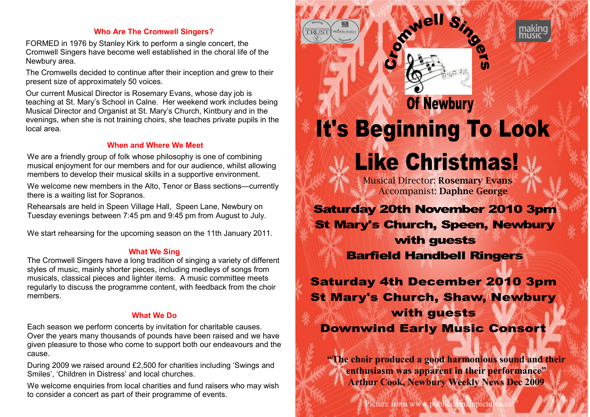# **Who Are The Cromwell Singers?**

FORMED in 1976 by Stanley Kirk to perform a single concert, the Cromwell Singers have become well established in the choral life of the Newbury area.

The Cromwells decided to continue after their inception and grew to their present size of approximately 50 voices.

Our current Musical Director is Rosemary Evans, whose day job is teaching at St. Mary's School in Calne. Her weekend work includes being Musical Director and Organist at St. Mary's Church, Kintbury and in the evenings, when she is not training choirs, she teaches private pupils in the local area.

# **When and Where We Meet**

We are a friendly group of folk whose philosophy is one of combining musical enjoyment for our members and for our audience, whilst allowing members to develop their musical skills in a supportive environment.

We welcome new members in the Alto, Tenor or Bass sections—currently there is a waiting list for Sopranos.

Rehearsals are held in Speen Village Hall, Speen Lane, Newbury on Tuesday evenings between 7:45 pm and 9:45 pm from August to July.

We start rehearsing for the upcoming season on the 11th January 2011.

# **What We Sing**

The Cromwell Singers have a long tradition of singing a variety of different styles of music, mainly shorter pieces, including medleys of songs from musicals, classical pieces and lighter items. A music committee meets regularly to discuss the programme content, with feedback from the choir members.

# **What We Do**

Each season we perform concerts by invitation for charitable causes. Over the years many thousands of pounds have been raised and we have given pleasure to those who come to support both our endeavours and the cause.

During 2009 we raised around £2,500 for charities including 'Swings and Smiles', 'Children in Distress' and local churches.

We welcome enquiries from local charities and fund raisers who may wish to consider a concert as part of their programme of events.



Picture from www.publicdomainpictu